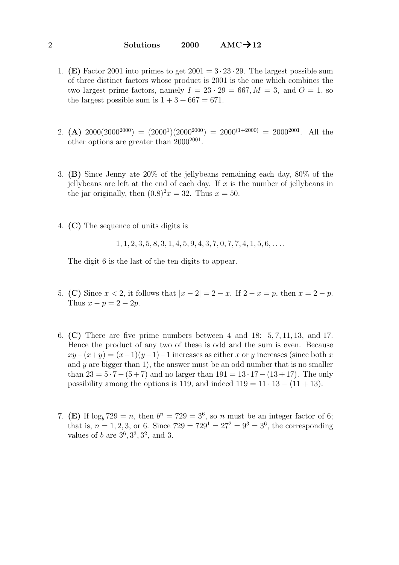- 1. (E) Factor 2001 into primes to get  $2001 = 3 \cdot 23 \cdot 29$ . The largest possible sum of three distinct factors whose product is 2001 is the one which combines the two largest prime factors, namely  $I = 23 \cdot 29 = 667, M = 3$ , and  $O = 1$ , so the largest possible sum is  $1 + 3 + 667 = 671$ .
- 2. (A)  $2000(2000^{2000}) = (2000^1)(2000^{2000}) = 2000^{(1+2000)} = 2000^{2001}$ . All the other options are greater than  $2000^{2001}$ .
- 3. (B) Since Jenny ate 20% of the jellybeans remaining each day, 80% of the jellybeans are left at the end of each day. If  $x$  is the number of jellybeans in the jar originally, then  $(0.8)^2x = 32$ . Thus  $x = 50$ .
- 4. (C) The sequence of units digits is

 $1, 1, 2, 3, 5, 8, 3, 1, 4, 5, 9, 4, 3, 7, 0, 7, 7, 4, 1, 5, 6, \ldots$ 

The digit 6 is the last of the ten digits to appear.

- 5. (C) Since  $x < 2$ , it follows that  $|x 2| = 2 x$ . If  $2 x = p$ , then  $x = 2 p$ . Thus  $x - p = 2 - 2p$ .
- 6. (C) There are five prime numbers between 4 and 18: 5, 7, 11, 13, and 17. Hence the product of any two of these is odd and the sum is even. Because  $xy-(x+y)=(x-1)(y-1)-1$  increases as either x or y increases (since both x and  $\gamma$  are bigger than 1), the answer must be an odd number that is no smaller than  $23 = 5 \cdot 7 - (5 + 7)$  and no larger than  $191 = 13 \cdot 17 - (13 + 17)$ . The only possibility among the options is 119, and indeed  $119 = 11 \cdot 13 - (11 + 13)$ .
- 7. (E) If  $\log_b 729 = n$ , then  $b^n = 729 = 3^6$ , so n must be an integer factor of 6; that is,  $n = 1, 2, 3$ , or 6. Since  $729 = 729^1 = 27^2 = 9^3 = 3^6$ , the corresponding values of  $b$  are  $3^6$ ,  $3^3$ ,  $3^2$ , and 3.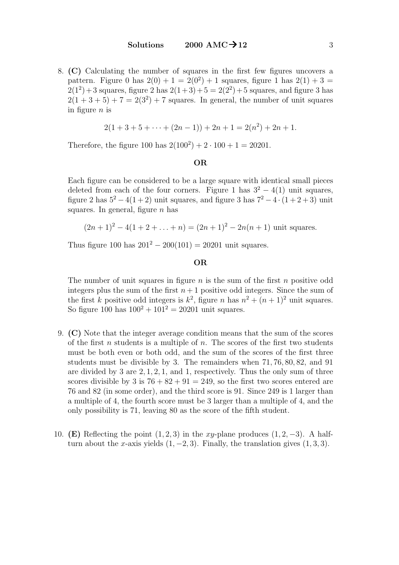8. (C) Calculating the number of squares in the first few figures uncovers a pattern. Figure 0 has  $2(0) + 1 = 2(0^2) + 1$  squares, figure 1 has  $2(1) + 3 =$  $2(1^2) + 3$  squares, figure 2 has  $2(1+3) + 5 = 2(2^2) + 5$  squares, and figure 3 has  $2(1+3+5)+7=2(3^2)+7$  squares. In general, the number of unit squares in figure  $n$  is

$$
2(1+3+5+\cdots+(2n-1))+2n+1=2(n^2)+2n+1.
$$

Therefore, the figure 100 has  $2(100^2) + 2 \cdot 100 + 1 = 20201$ .

#### OR

Each figure can be considered to be a large square with identical small pieces deleted from each of the four corners. Figure 1 has  $3^2 - 4(1)$  unit squares, figure 2 has  $5^2 - 4(1+2)$  unit squares, and figure 3 has  $7^2 - 4 \cdot (1+2+3)$  unit squares. In general, figure  $n$  has

$$
(2n + 1)2 - 4(1 + 2 + ... + n) = (2n + 1)2 - 2n(n + 1)
$$
 unit squares.

Thus figure 100 has  $201^2 - 200(101) = 20201$  unit squares.

### OR

The number of unit squares in figure  $n$  is the sum of the first  $n$  positive odd integers plus the sum of the first  $n+1$  positive odd integers. Since the sum of the first k positive odd integers is  $k^2$ , figure n has  $n^2 + (n+1)^2$  unit squares. So figure 100 has  $100^2 + 101^2 = 20201$  unit squares.

- 9. (C) Note that the integer average condition means that the sum of the scores of the first n students is a multiple of n. The scores of the first two students must be both even or both odd, and the sum of the scores of the first three students must be divisible by 3. The remainders when 71, 76, 80, 82, and 91 are divided by 3 are 2, 1, 2, 1, and 1, respectively. Thus the only sum of three scores divisible by 3 is  $76 + 82 + 91 = 249$ , so the first two scores entered are 76 and 82 (in some order), and the third score is 91. Since 249 is 1 larger than a multiple of 4, the fourth score must be 3 larger than a multiple of 4, and the only possibility is 71, leaving 80 as the score of the fifth student.
- 10. (E) Reflecting the point  $(1, 2, 3)$  in the xy-plane produces  $(1, 2, -3)$ . A halfturn about the x-axis yields  $(1, -2, 3)$ . Finally, the translation gives  $(1, 3, 3)$ .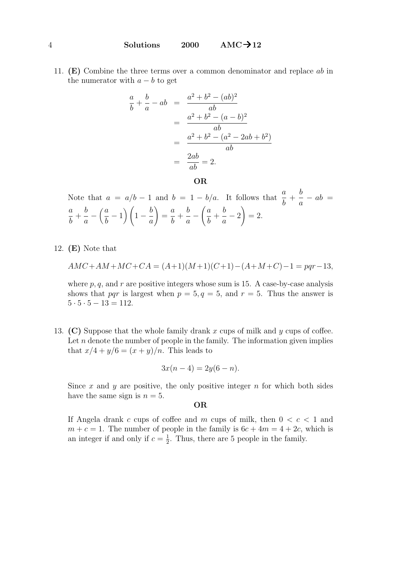11. (E) Combine the three terms over a common denominator and replace ab in the numerator with  $a - b$  to get

$$
\frac{a}{b} + \frac{b}{a} - ab = \frac{a^2 + b^2 - (ab)^2}{ab}
$$
  
= 
$$
\frac{a^2 + b^2 - (a - b)^2}{ab}
$$
  
= 
$$
\frac{a^2 + b^2 - (a^2 - 2ab + b^2)}{ab}
$$
  
= 
$$
\frac{2ab}{ab} = 2.
$$

OR

Note that  $a = a/b - 1$  and  $b = 1 - b/a$ . It follows that  $\frac{a}{b}$ b + b a  $-\,ab =$ a b  $+$ b a  $\binom{a}{a}$ b  $\left(1-\frac{b}{b}\right)$ a  $\setminus$ = a b  $+$ b a  $-\left(\frac{a}{a}\right)$ b  $+$ b a  $-2$  $= 2.$ 

12.  $(E)$  Note that

$$
AMC + AM + MC + CA = (A+1)(M+1)(C+1) - (A+M+C) - 1 = pqr - 13,
$$

where p, q, and r are positive integers whose sum is 15. A case-by-case analysis shows that pqr is largest when  $p = 5, q = 5$ , and  $r = 5$ . Thus the answer is  $5 \cdot 5 \cdot 5 - 13 = 112.$ 

13. (C) Suppose that the whole family drank x cups of milk and y cups of coffee. Let  $n$  denote the number of people in the family. The information given implies that  $x/4 + y/6 = (x + y)/n$ . This leads to

$$
3x(n-4) = 2y(6-n).
$$

Since x and y are positive, the only positive integer  $n$  for which both sides have the same sign is  $n = 5$ .

# OR

If Angela drank c cups of coffee and m cups of milk, then  $0 < c < 1$  and  $m + c = 1$ . The number of people in the family is  $6c + 4m = 4 + 2c$ , which is an integer if and only if  $c = \frac{1}{2}$  $\frac{1}{2}$ . Thus, there are 5 people in the family.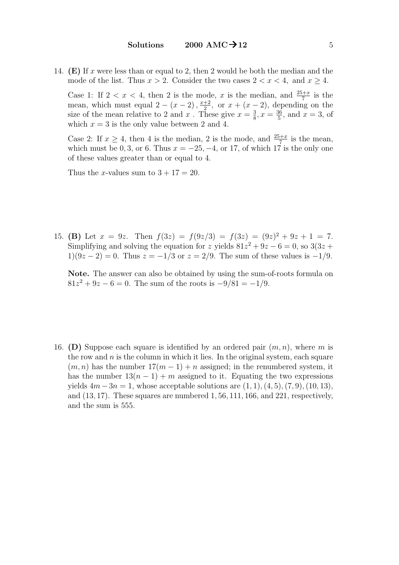14. **(E)** If x were less than or equal to 2, then 2 would be both the median and the mode of the list. Thus  $x > 2$ . Consider the two cases  $2 < x < 4$ , and  $x > 4$ .

Case 1: If  $2 < x < 4$ , then 2 is the mode, x is the median, and  $\frac{25+x}{7}$  is the mean, which must equal  $2 - (x - 2), \frac{x+2}{2}$  $\frac{+2}{2}$ , or  $x + (x - 2)$ , depending on the size of the mean relative to 2 and x. These give  $x=\frac{3}{8}$  $\frac{3}{8}$ ,  $x = \frac{36}{5}$  $\frac{36}{5}$ , and  $x = 3$ , of which  $x = 3$  is the only value between 2 and 4.

Case 2: If  $x \ge 4$ , then 4 is the median, 2 is the mode, and  $\frac{25+x}{7}$  is the mean, which must be 0, 3, or 6. Thus  $x = -25, -4$ , or 17, of which 17 is the only one of these values greater than or equal to 4.

Thus the *x*-values sum to  $3 + 17 = 20$ .

15. (B) Let  $x = 9z$ . Then  $f(3z) = f(9z/3) = f(3z) = (9z)^2 + 9z + 1 = 7$ . Simplifying and solving the equation for z yields  $81z^2 + 9z - 6 = 0$ , so  $3(3z +$  $1(9z-2) = 0$ . Thus  $z = -1/3$  or  $z = 2/9$ . The sum of these values is  $-1/9$ .

Note. The answer can also be obtained by using the sum-of-roots formula on  $81z^{2} + 9z - 6 = 0$ . The sum of the roots is  $-9/81 = -1/9$ .

16. (D) Suppose each square is identified by an ordered pair  $(m, n)$ , where m is the row and  $n$  is the column in which it lies. In the original system, each square  $(m, n)$  has the number  $17(m - 1) + n$  assigned; in the renumbered system, it has the number  $13(n - 1) + m$  assigned to it. Equating the two expressions yields  $4m - 3n = 1$ , whose acceptable solutions are  $(1, 1), (4, 5), (7, 9), (10, 13)$ , and  $(13, 17)$ . These squares are numbered  $1, 56, 111, 166$ , and  $221$ , respectively, and the sum is 555.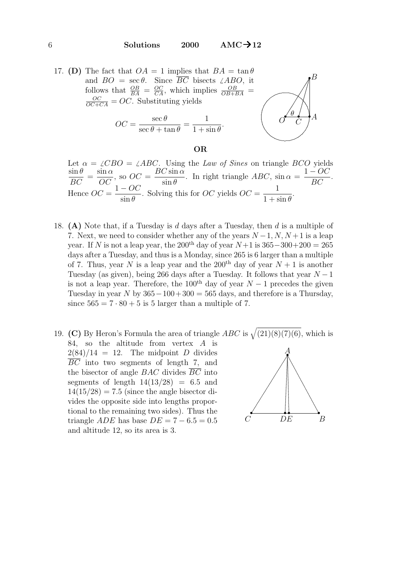

OR

- Let  $\alpha = \angle CBO = \angle ABC$ . Using the Law of Sines on triangle BCO yields  $\sin \theta$  $\frac{\partial \overline{H} \overline{v}}{\partial C} =$  $\sin \alpha$  $\frac{\partial C}{\partial C}$ , so  $\partial C =$  $BC \sin \alpha$  $\sin \theta$ . In right triangle  $ABC$ ,  $\sin \alpha =$  $1 - OC$  $\frac{OC}{BC}$ . Hence  $OC =$  $1 - OC$  $\sin \theta$ . Solving this for  $OC$  yields  $OC =$ 1  $1 + \sin \theta$ .
- 18. (A) Note that, if a Tuesday is d days after a Tuesday, then d is a multiple of 7. Next, we need to consider whether any of the years  $N-1, N, N+1$  is a leap year. If N is not a leap year, the 200<sup>th</sup> day of year  $N+1$  is  $365-300+200 = 265$ days after a Tuesday, and thus is a Monday, since 265 is 6 larger than a multiple of 7. Thus, year N is a leap year and the 200<sup>th</sup> day of year  $N + 1$  is another Tuesday (as given), being 266 days after a Tuesday. It follows that year  $N-1$ is not a leap year. Therefore, the 100<sup>th</sup> day of year  $N-1$  precedes the given Tuesday in year N by  $365-100+300 = 565$  days, and therefore is a Thursday, since  $565 = 7 \cdot 80 + 5$  is 5 larger than a multiple of 7.
- 19. (C) By Heron's Formula the area of triangle  $ABC$  is  $\sqrt{(21)(8)(7)(6)}$ , which is 84, so the altitude from vertex  $A$  is  $2(84)/14 = 12$ . The midpoint D divides  $\overline{BC}$  into two segments of length 7, and the bisector of angle  $BAC$  divides  $\overline{BC}$  into segments of length  $14(13/28) = 6.5$  and  $14(15/28) = 7.5$  (since the angle bisector divides the opposite side into lengths proportional to the remaining two sides). Thus the triangle *ADE* has base  $DE = 7 - 6.5 = 0.5$ and altitude 12, so its area is 3.  $\mathcal{C}$

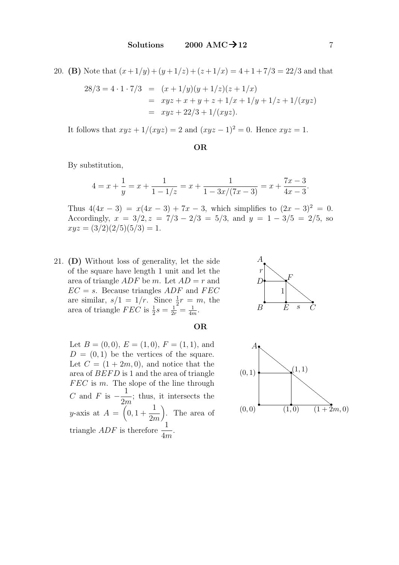20. (B) Note that  $(x+1/y) + (y+1/z) + (z+1/x) = 4+1+7/3 = 22/3$  and that

$$
28/3 = 4 \cdot 1 \cdot 7/3 = (x + 1/y)(y + 1/z)(z + 1/x)
$$
  
=  $xyz + x + y + z + 1/x + 1/y + 1/z + 1/(xyz)$   
=  $xyz + 22/3 + 1/(xyz)$ .

It follows that  $xyz + 1/(xyz) = 2$  and  $(xyz - 1)^2 = 0$ . Hence  $xyz = 1$ .

### OR

By substitution,

$$
4 = x + \frac{1}{y} = x + \frac{1}{1 - 1/z} = x + \frac{1}{1 - 3x/(7x - 3)} = x + \frac{7x - 3}{4x - 3}.
$$

Thus  $4(4x-3) = x(4x-3) + 7x - 3$ , which simplifies to  $(2x-3)^2 = 0$ . Accordingly,  $x = 3/2, z = 7/3 - 2/3 = 5/3$ , and  $y = 1 - 3/5 = 2/5$ , so  $xyz = (3/2)(2/5)(5/3) = 1.$ 

21. (D) Without loss of generality, let the side of the square have length 1 unit and let the area of triangle  $ADF$  be m. Let  $AD = r$  and  $EC = s$ . Because triangles ADF and FEC are similar,  $s/1 = 1/r$ . Since  $\frac{1}{2}r = m$ , the area of triangle  $FEC$  is  $\frac{1}{2}s = \frac{1}{2r} = \frac{1}{4n}$  $\frac{1}{4m}$ .





## OR

Let  $B = (0, 0), E = (1, 0), F = (1, 1),$  and  $D = (0, 1)$  be the vertices of the square. Let  $C = (1 + 2m, 0)$ , and notice that the area of  $BEFD$  is 1 and the area of triangle  $FEC$  is m. The slope of the line through C and F is  $-\frac{1}{2}$  $2m$ ; thus, it intersects the y-axis at  $A = \begin{pmatrix} 0, 1 + \end{pmatrix}$ 1 2m . The area of triangle  $ADF$  is therefore  $\frac{1}{4}$ 4m .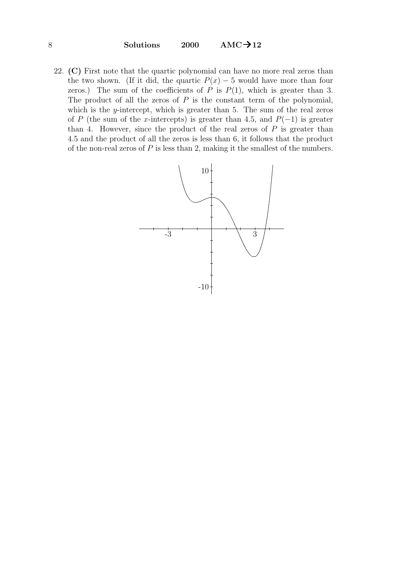8 Solutions 2000  $AMC \rightarrow 12$ 

22. (C) First note that the quartic polynomial can have no more real zeros than the two shown. (If it did, the quartic  $P(x) - 5$  would have more than four zeros.) The sum of the coefficients of P is  $P(1)$ , which is greater than 3. The product of all the zeros of  $P$  is the constant term of the polynomial, which is the *y*-intercept, which is greater than  $5$ . The sum of the real zeros of P (the sum of the x-intercepts) is greater than 4.5, and  $P(-1)$  is greater than 4. However, since the product of the real zeros of  $P$  is greater than 4.5 and the product of all the zeros is less than 6, it follows that the product of the non-real zeros of  $P$  is less than 2, making it the smallest of the numbers.

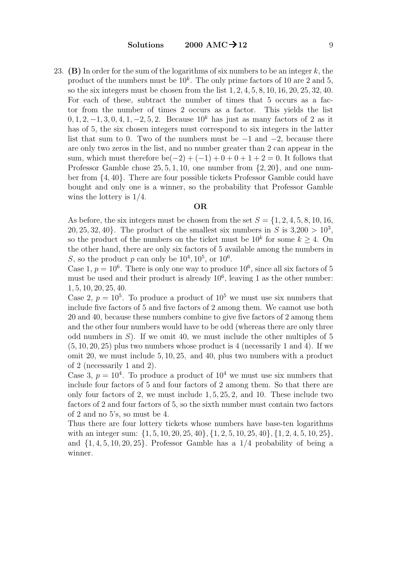Solutions 2000 AMC $\rightarrow$  12 9

23. (B) In order for the sum of the logarithms of six numbers to be an integer k, the product of the numbers must be  $10<sup>k</sup>$ . The only prime factors of 10 are 2 and 5, so the six integers must be chosen from the list 1, 2, 4, 5, 8, 10, 16, 20, 25, 32, 40. For each of these, subtract the number of times that 5 occurs as a factor from the number of times 2 occurs as a factor. This yields the list 0, 1, 2, -1, 3, 0, 4, 1, -2, 5, 2. Because  $10^k$  has just as many factors of 2 as it has of 5, the six chosen integers must correspond to six integers in the latter list that sum to 0. Two of the numbers must be  $-1$  and  $-2$ , because there are only two zeros in the list, and no number greater than 2 can appear in the sum, which must therefore be( $-2$ ) + ( $-1$ ) + 0 + 0 + 1 + 2 = 0. It follows that Professor Gamble chose  $25, 5, 1, 10$ , one number from  $\{2, 20\}$ , and one number from {4, 40}. There are four possible tickets Professor Gamble could have bought and only one is a winner, so the probability that Professor Gamble wins the lottery is 1/4.

#### OR

As before, the six integers must be chosen from the set  $S = \{1, 2, 4, 5, 8, 10, 16,$ 20, 25, 32, 40}. The product of the smallest six numbers in S is  $3,200 > 10^3$ , so the product of the numbers on the ticket must be  $10^k$  for some  $k \geq 4$ . On the other hand, there are only six factors of 5 available among the numbers in S, so the product p can only be  $10^4, 10^5$ , or  $10^6$ .

Case 1,  $p = 10^6$ . There is only one way to produce  $10^6$ , since all six factors of 5 must be used and their product is already  $10<sup>6</sup>$ , leaving 1 as the other number: 1, 5, 10, 20, 25, 40.

Case 2,  $p = 10^5$ . To produce a product of  $10^5$  we must use six numbers that include five factors of 5 and five factors of 2 among them. We cannot use both 20 and 40, because these numbers combine to give five factors of 2 among them and the other four numbers would have to be odd (whereas there are only three odd numbers in  $S$ ). If we omit 40, we must include the other multiples of 5  $(5, 10, 20, 25)$  plus two numbers whose product is 4 (necessarily 1 and 4). If we omit 20, we must include 5, 10, 25, and 40, plus two numbers with a product of 2 (necessarily 1 and 2).

Case 3,  $p = 10<sup>4</sup>$ . To produce a product of  $10<sup>4</sup>$  we must use six numbers that include four factors of 5 and four factors of 2 among them. So that there are only four factors of 2, we must include 1, 5, 25, 2, and 10. These include two factors of 2 and four factors of 5, so the sixth number must contain two factors of 2 and no 5's, so must be 4.

Thus there are four lottery tickets whose numbers have base-ten logarithms with an integer sum:  $\{1, 5, 10, 20, 25, 40\}, \{1, 2, 5, 10, 25, 40\}, \{1, 2, 4, 5, 10, 25\},\$ and  $\{1, 4, 5, 10, 20, 25\}$ . Professor Gamble has a  $1/4$  probability of being a winner.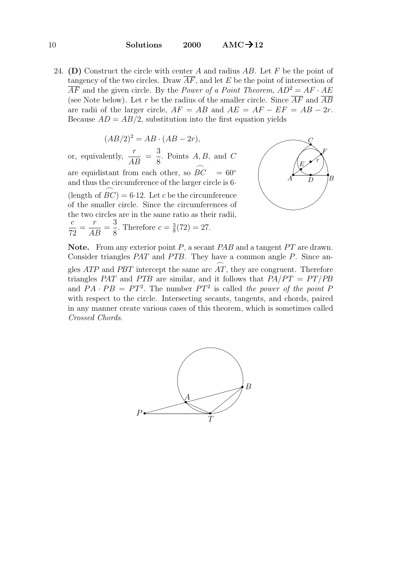24. (D) Construct the circle with center A and radius  $AB$ . Let F be the point of tangency of the two circles. Draw  $\overline{AF}$ , and let E be the point of intersection of  $\overline{AF}$  and the given circle. By the *Power of a Point Theorem,*  $AD^2 = AF \cdot AE$ (see Note below). Let r be the radius of the smaller circle. Since  $\overline{AF}$  and  $\overline{AB}$ are radii of the larger circle,  $AF = AB$  and  $AE = AF - EF = AB - 2r$ . Because  $AD = AB/2$ , substitution into the first equation yields

$$
(AB/2)^2 = AB \cdot (AB - 2r),
$$

or, equivalently,  $\frac{r}{4}$  $\frac{A}{AB}$  = 3 8 . Points  $A, B$ , and  $C$ are equidistant from each other, so  $\stackrel{\frown}{BC}$  = 60° and thus the circumference of the larger circle is 6· (length of  $\widehat{BC}$ ) = 6.12. Let c be the circumference of the smaller circle. Since the circumferences of the two circles are in the same ratio as their radii, c 72 = r  $\frac{1}{AB}$ 3 8 . Therefore  $c = \frac{3}{8}$  $\frac{3}{8}(72) = 27.$ 



**Note.** From any exterior point P, a secant PAB and a tangent  $PT$  are drawn. Consider triangles  $PAT$  and  $PTB$ . They have a common angle  $P$ . Since angles ATP and PBT intercept the same arc AT, they are congruent. Therefore  $\sum_{i=1}^{n}$ triangles PAT and PTB are similar, and it follows that  $PA/PT = PT/PB$ and  $PA \cdot PB = PT^2$ . The number  $PT^2$  is called the power of the point F with respect to the circle. Intersecting secants, tangents, and chords, paired in any manner create various cases of this theorem, which is sometimes called Crossed Chords.